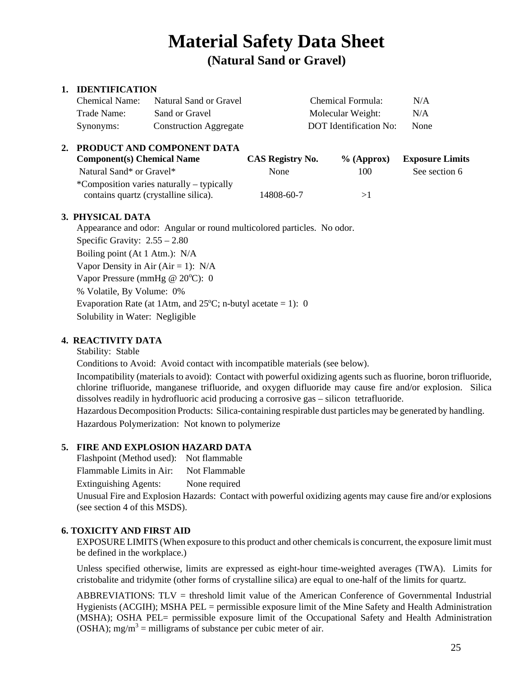# **Material Safety Data Sheet**

**(Natural Sand or Gravel)** 

# **1. IDENTIFICATION**

| Chemical Name: | Natural Sand or Gravel        | Chemical Formula:      | N/A  |
|----------------|-------------------------------|------------------------|------|
| Trade Name:    | Sand or Gravel                | Molecular Weight:      | N/A  |
| Synonyms:      | <b>Construction Aggregate</b> | DOT Identification No: | None |

| 2. PRODUCT AND COMPONENT DATA             |                  |               |                        |  |
|-------------------------------------------|------------------|---------------|------------------------|--|
| <b>Component(s) Chemical Name</b>         | CAS Registry No. | $\%$ (Approx) | <b>Exposure Limits</b> |  |
| Natural Sand* or Gravel*                  | None             | 100           | See section 6          |  |
| *Composition varies naturally – typically |                  |               |                        |  |
| contains quartz (crystalline silica).     | 14808-60-7       | >1            |                        |  |

## **3. PHYSICAL DATA**

Appearance and odor: Angular or round multicolored particles. No odor. Specific Gravity: 2.55 – 2.80 Boiling point (At 1 Atm.): N/A Vapor Density in Air (Air = 1):  $N/A$ Vapor Pressure (mmHg @ 20°C): 0 % Volatile, By Volume: 0% Evaporation Rate (at 1Atm, and  $25^{\circ}$ C; n-butyl acetate = 1): 0 Solubility in Water: Negligible

# **4. REACTIVITY DATA**

Stability: Stable

Conditions to Avoid: Avoid contact with incompatible materials (see below).

Incompatibility (materials to avoid): Contact with powerful oxidizing agents such as fluorine, boron trifluoride, chlorine trifluoride, manganese trifluoride, and oxygen difluoride may cause fire and/or explosion. Silica dissolves readily in hydrofluoric acid producing a corrosive gas – silicon tetrafluoride.

Hazardous Decomposition Products: Silica-containing respirable dust particles may be generated by handling. Hazardous Polymerization: Not known to polymerize

# **5. FIRE AND EXPLOSION HAZARD DATA**

Flashpoint (Method used): Not flammable

Flammable Limits in Air: Not Flammable

Extinguishing Agents: None required

Unusual Fire and Explosion Hazards: Contact with powerful oxidizing agents may cause fire and/or explosions (see section 4 of this MSDS).

# **6. TOXICITY AND FIRST AID**

EXPOSURE LIMITS (When exposure to this product and other chemicals is concurrent, the exposure limit must be defined in the workplace.)

Unless specified otherwise, limits are expressed as eight-hour time-weighted averages (TWA). Limits for cristobalite and tridymite (other forms of crystal line silica) are equal to one-half of the limits for quartz.

ABBREVIATIONS: TLV = threshold limit value of the American Conference of Governmental Industrial Hygienists (ACGIH); MSHA PEL = permissible exposure limit of the Mine Safety and Health Administration (MSHA); OSHA PEL= permissible exposure limit of the Occupational Safety and Health Administration (OSHA); mg/m<sup>3</sup> = milligrams of substance per cubic meter of air.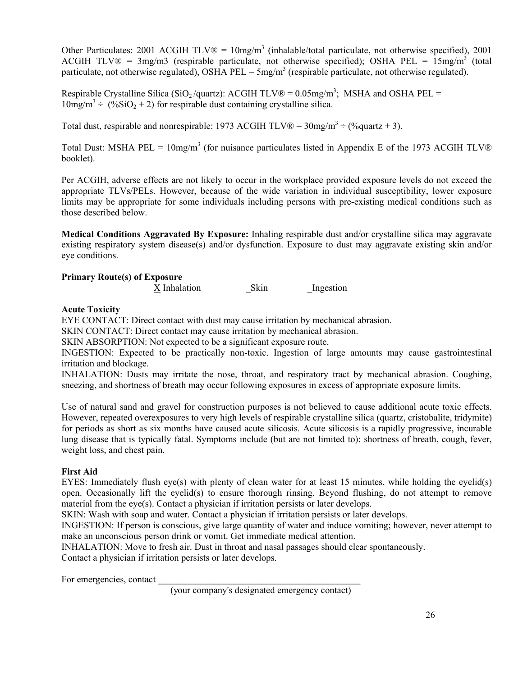Other Particulates: 2001 ACGIH  $TLV@ = 10mg/m<sup>3</sup>$  (inhalable/total particulate, not otherwise specified), 2001 ACGIH TLV $\mathbb{R}$  = 3mg/m3 (respirable particulate, not otherwise specified); OSHA PEL = 15mg/m<sup>3</sup> (total particulate, not otherwise regulated), OSHA PEL =  $5mg/m<sup>3</sup>$  (respirable particulate, not otherwise regulated).

Respirable Crystalline Silica (SiO<sub>2</sub>/quartz): ACGIH TLV® =  $0.05$ mg/m<sup>3</sup>; MSHA and OSHA PEL =  $10$ mg/m<sup>3</sup> ÷ (%SiO<sub>2</sub> + 2) for respirable dust containing crystalline silica.

Total dust, respirable and nonrespirable: 1973 ACGIH TLV $\otimes$  = 30mg/m<sup>3</sup> ÷ (%quartz + 3).

Total Dust: MSHA PEL =  $10mg/m<sup>3</sup>$  (for nuisance particulates listed in Appendix E of the 1973 ACGIH TLV® booklet).

Per ACGIH, adverse effects are not likely to occur in the workplace provided exposure levels do not exceed the appropriate TLVs/PELs. However, because of the wide variation in individual susceptibility, lower exposure limits may be appropriate for some individuals including persons with pre-existing medical conditions such as those described below.

**Medical Conditions Aggravated By Exposure:** Inhaling respirable dust and/or crystalline silica may aggravate existing respiratory system disease(s) and/or dysfunction. Exposure to dust may aggravate existing skin and/or eye conditions.

## **Primary Route(s) of Exposure**

X Inhalation Skin Ingestion

#### **Acute Toxicity**

EYE CONTACT: Direct contact with dust may cause irritation by mechanical abrasion.

SKIN CONTACT: Direct contact may cause irritation by mechanical abrasion.

SKIN ABSORPTION: Not expected to be a significant exposure route.

INGESTION: Expected to be practically non-toxic. Ingestion of large amounts may cause gastrointestinal irritation and blockage.

INHALATION: Dusts may irritate the nose, throat, and respiratory tract by mechanical abrasion. Coughing, sneezing, and shortness of breath may occur following exposures in excess of appropriate exposure limits.

Use of natural sand and gravel for construction purposes is not believed to cause additional acute toxic effects. However, repeated overexposures to very high levels of respirable crystalline silica (quartz, cristobalite, tridymite) for periods as short as six months have caused acute silicosis. Acute silicosis is a rapidly progressive, incurable lung disease that is typically fatal. Symptoms include (but are not limited to): shortness of breath, cough, fever, weight loss, and chest pain.

#### **First Aid**

EYES: Immediately flush eye(s) with plenty of clean water for at least 15 minutes, while holding the eyelid(s) open. Occasionally lift the eyelid(s) to ensure thorough rinsing. Beyond flushing, do not attempt to remove material from the eye(s). Contact a physician if irritation persists or later develops.

SKIN: Wash with soap and water. Contact a physician if irritation persists or later develops.

INGESTION: If person is conscious, give large quantity of water and induce vomiting; however, never attempt to make an unconscious person drink or vomit. Get immediate medical attention.

INHALATION: Move to fresh air. Dust in throat and nasal passages should clear spontaneously.

Contact a physician if irritation persists or later develops.

For emergencies, contact

(your company's designated emergency contact)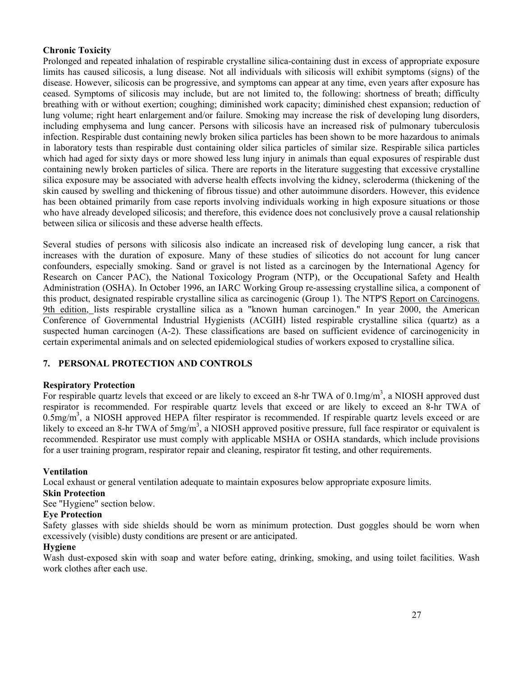#### **Chronic Toxicity**

Prolonged and repeated inhalation of respirable crystalline silica-containing dust in excess of appropriate exposure limits has caused silicosis, a lung disease. Not all individuals with silicosis will exhibit symptoms (signs) of the disease. However, silicosis can be progressive, and symptoms can appear at any time, even years after exposure has ceased. Symptoms of silicosis may include, but are not limited to, the following: shortness of breath; difficulty breathing with or without exertion; coughing; diminished work capacity; diminished chest expansion; reduction of lung volume; right heart enlargement and/or failure. Smoking may increase the risk of developing lung disorders, including emphysema and lung cancer. Persons with silicosis have an increased risk of pulmonary tuberculosis infection. Respirable dust containing newly broken silica particles has been shown to be more hazardous to animals in laboratory tests than respirable dust containing older silica particles of similar size. Respirable silica particles which had aged for sixty days or more showed less lung injury in animals than equal exposures of respirable dust containing newly broken particles of silica. There are reports in the literature suggesting that excessive crystalline silica exposure may be associated with adverse health effects involving the kidney, scleroderma (thickening of the skin caused by swelling and thickening of fibrous tissue) and other autoimmune disorders. However, this evidence has been obtained primarily from case reports involving individuals working in high exposure situations or those who have already developed silicosis; and therefore, this evidence does not conclusively prove a causal relationship between silica or silicosis and these adverse health effects.

Several studies of persons with silicosis also indicate an increased risk of developing lung cancer, a risk that increases with the duration of exposure. Many of these studies of silicotics do not account for lung cancer confounders, especially smoking. Sand or gravel is not listed as a carcinogen by the International Agency for Research on Cancer PAC), the National Toxicology Program (NTP), or the Occupational Safety and Health Administration (OSHA). In October 1996, an IARC Working Group re-assessing crystalline silica, a component of this product, designated respirable crystalline silica as carcinogenic (Group 1). The NTP'S Report on Carcinogens. 9th edition, lists respirable crystalline silica as a "known human carcinogen." In year 2000, the American Conference of Governmental Industrial Hygienists (ACGIH) listed respirable crystalline silica (quartz) as a suspected human carcinogen (A-2). These classifications are based on sufficient evidence of carcinogenicity in certain experimental animals and on selected epidemiological studies of workers exposed to crystalline silica.

## **7. PERSONAL PROTECTION AND CONTROLS**

#### **Respiratory Protection**

For respirable quartz levels that exceed or are likely to exceed an 8-hr TWA of  $0.1 \text{mg/m}^3$ , a NIOSH approved dust respirator is recommended. For respirable quartz levels that exceed or are likely to exceed an 8-hr TWA of  $0.5$ mg/m<sup>3</sup>, a NIOSH approved HEPA filter respirator is recommended. If respirable quartz levels exceed or are likely to exceed an 8-hr TWA of  $5mg/m<sup>3</sup>$ , a NIOSH approved positive pressure, full face respirator or equivalent is recommended. Respirator use must comply with applicable MSHA or OSHA standards, which include provisions for a user training program, respirator repair and cleaning, respirator fit testing, and other requirements.

#### **Ventilation**

Local exhaust or general ventilation adequate to maintain exposures below appropriate exposure limits.

#### **Skin Protection**

See "Hygiene" section below.

#### **Eye Protection**

Safety glasses with side shields should be worn as minimum protection. Dust goggles should be worn when excessively (visible) dusty conditions are present or are anticipated.

#### **Hygiene**

Wash dust-exposed skin with soap and water before eating, drinking, smoking, and using toilet facilities. Wash work clothes after each use.